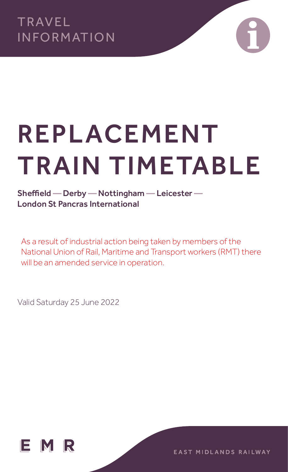

## REPLACEMENT TRAIN TIMETABLE

Sheffield — Derby — Nottingham — Leicester — London St Pancras International

As a result of industrial action being taken by members of the National Union of Rail, Maritime and Transport workers (RMT) there will be an amended service in operation.

Valid Saturday 25 June 2022



EAST MIDLANDS RAILWAY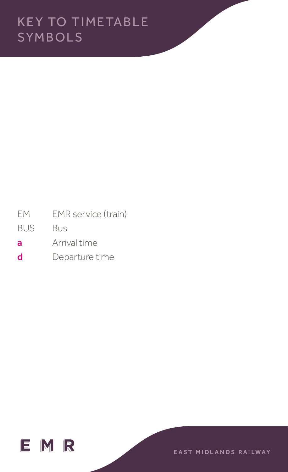EM EMR service (train)

- BUS Bus
- a **Arrival time**
- d Departure time

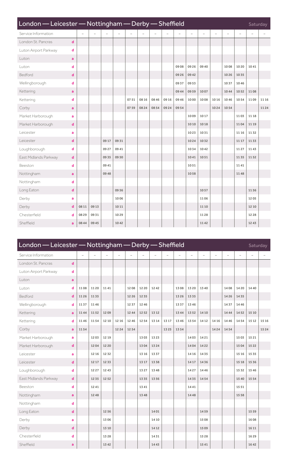|                       |              | London — Leicester — Nottingham — Derby — Sheffield |       |       |          |      |       |       |       |       |          |          |       | Saturday |                          |       |       |
|-----------------------|--------------|-----------------------------------------------------|-------|-------|----------|------|-------|-------|-------|-------|----------|----------|-------|----------|--------------------------|-------|-------|
| Service Information   |              | $\equiv$                                            |       |       | $\equiv$ |      | L.    |       |       |       | $\equiv$ | $\equiv$ | ۳     | $\equiv$ | $\overline{\phantom{a}}$ | ÷     |       |
| London St. Pancras    | $\mathbf d$  |                                                     |       |       |          |      |       |       |       |       |          |          |       |          |                          |       |       |
| Luton Airport Parkway | d            |                                                     |       |       |          |      |       |       |       |       |          |          |       |          |                          |       |       |
| Luton                 | a            |                                                     |       |       |          |      |       |       |       |       |          |          |       |          |                          |       |       |
| Luton                 | d            |                                                     |       |       |          |      |       |       |       | 0908  | 09 26    | 0940     |       | 1008     | 1020                     | 1041  |       |
| Bedford               | $\mathbf d$  |                                                     |       |       |          |      |       |       |       | 09 26 | 09 42    |          |       | 1026     | 1035                     |       |       |
| Wellingborough        | d            |                                                     |       |       |          |      |       |       |       | 0937  | 09 53    |          |       | 1037     | 1046                     |       |       |
| Kettering             | a            |                                                     |       |       |          |      |       |       |       | 0944  | 09 59    | 1007     |       | 1044     | 1052                     | 1108  |       |
| Kettering             | d            |                                                     |       |       |          | 0751 | 08 16 | 08 46 | 09 16 | 09 46 | 1000     | 1008     | 10 16 | 1046     | 1054                     | 1109  | 11 16 |
| Corby                 | a            |                                                     |       |       |          | 0759 | 0824  | 0854  | 09 24 | 0954  |          |          | 1024  | 1054     |                          |       | 1124  |
| Market Harborough     | a            |                                                     |       |       |          |      |       |       |       |       | 1009     | 1017     |       |          | 1103                     | 11 18 |       |
| Market Harborough     | $\mathbf d$  |                                                     |       |       |          |      |       |       |       |       | 10 10    | 1018     |       |          | 1104                     | 11 19 |       |
| Leicester             | a            |                                                     |       |       |          |      |       |       |       |       | 1023     | 1031     |       |          | 11 16                    | 1132  |       |
| Leicester             | $\mathbf d$  |                                                     |       | 09 17 | 0931     |      |       |       |       |       | 1024     | 1032     |       |          | 11 17                    | 1133  |       |
| Loughborough          | d            |                                                     |       | 09 27 | 0941     |      |       |       |       |       | 1034     | 1042     |       |          | 1127                     | 1143  |       |
| East Midlands Parkway | $\mathbf d$  |                                                     |       | 09 35 | 0950     |      |       |       |       |       | 1041     | 1051     |       |          | 1135                     | 1152  |       |
| Beeston               | d            |                                                     |       | 09 41 |          |      |       |       |       |       | 1051     |          |       |          | 1141                     |       |       |
| Nottingham            | a            |                                                     |       | 09 48 |          |      |       |       |       |       | 1058     |          |       |          | 1148                     |       |       |
| Nottingham            | d            |                                                     |       |       |          |      |       |       |       |       |          |          |       |          |                          |       |       |
| Long Eaton            | $\mathbf d$  |                                                     |       |       | 0956     |      |       |       |       |       |          | 1057     |       |          |                          | 1156  |       |
| Derby                 | a            |                                                     |       |       | 1006     |      |       |       |       |       |          | 1106     |       |          |                          | 1205  |       |
| Derby                 | $\mathsf{d}$ | 08 11                                               | 0913  |       | 1011     |      |       |       |       |       |          | 1110     |       |          |                          | 12 10 |       |
| Chesterfield          | d            | 08 29                                               | 0931  |       | 1029     |      |       |       |       |       |          | 1128     |       |          |                          | 12 28 |       |
| Sheffield             | a            | 08 44                                               | 09 45 |       | 1042     |      |       |       |       |       |          | 1142     |       |          |                          | 12 43 |       |

| London - Leicester - Nottingham - Derby - Sheffield<br>Saturday |             |          |       |       |          |       |          |                          |       |       |          |          |          |          |          |                          |       |
|-----------------------------------------------------------------|-------------|----------|-------|-------|----------|-------|----------|--------------------------|-------|-------|----------|----------|----------|----------|----------|--------------------------|-------|
| Service Information                                             |             | $\equiv$ |       |       | $\equiv$ |       | $\equiv$ | $\overline{\phantom{0}}$ |       |       | $\equiv$ | $\equiv$ | $\equiv$ | $\equiv$ | $\equiv$ | $\overline{\phantom{0}}$ |       |
| London St. Pancras                                              | $\mathbf d$ |          |       |       |          |       |          |                          |       |       |          |          |          |          |          |                          |       |
| Luton Airport Parkway                                           | d           |          |       |       |          |       |          |                          |       |       |          |          |          |          |          |                          |       |
| Luton                                                           | a           |          |       |       |          |       |          |                          |       |       |          |          |          |          |          |                          |       |
| Luton                                                           | d           | 1108     | 1120  | 1141  |          | 1208  | 1220     | 1242                     |       | 1308  | 13 20    | 1340     |          | 1408     | 1420     | 1440                     |       |
| Bedford                                                         | d           | 1126     | 1135  |       |          | 12 26 | 1235     |                          |       | 1326  | 13 35    |          |          | 1426     | 1435     |                          |       |
| Wellingborough                                                  | d           | 1137     | 1146  |       |          | 1237  | 1246     |                          |       | 1337  | 13 46    |          |          | 1437     | 1446     |                          |       |
| Kettering                                                       | a           | 1144     | 1152  | 1209  |          | 12 44 | 1252     | 13 12                    |       | 1344  | 1352     | 1410     |          | 1444     | 1452     | 15 10                    |       |
| Kettering                                                       | d           | 1146     | 1154  | 12 10 | 12 16    | 12 46 | 1254     | 13 14                    | 13 17 | 13 46 | 1354     | 1412     | 14 16    | 1446     | 1454     | 15 12                    | 15 16 |
| Corby                                                           | a           | 1154     |       |       | 1224     | 1254  |          |                          | 13 25 | 1354  |          |          | 1424     | 1454     |          |                          | 1524  |
| Market Harborough                                               | a           |          | 1203  | 12 19 |          |       | 1303     | 1323                     |       |       | 1403     | 1421     |          |          | 1503     | 15 21                    |       |
| Market Harborough                                               | d           |          | 1204  | 12 20 |          |       | 1304     | 1324                     |       |       | 1404     | 1422     |          |          | 1504     | 15 22                    |       |
| Leicester                                                       | a           |          | 12 16 | 1232  |          |       | 13 16    | 1337                     |       |       | 14 16    | 1435     |          |          | 15 16    | 1535                     |       |
| Leicester                                                       | $\mathbf d$ |          | 12 17 | 1233  |          |       | 13 17    | 1338                     |       |       | 14 17    | 1436     |          |          | 15 18    | 1536                     |       |
| Loughborough                                                    | d           |          | 1227  | 12 43 |          |       | 1327     | 13 48                    |       |       | 1427     | 1446     |          |          | 1532     | 1546                     |       |
| East Midlands Parkway                                           | d           |          | 1235  | 1252  |          |       | 1335     | 1356                     |       |       | 1435     | 1454     |          |          | 15 40    | 1554                     |       |
| Beeston                                                         | d           |          | 1241  |       |          |       | 1341     |                          |       |       | 1441     |          |          |          | 1551     |                          |       |
| Nottingham                                                      | a           |          | 1248  |       |          |       | 1348     |                          |       |       | 1448     |          |          |          | 1558     |                          |       |
| Nottingham                                                      | d           |          |       |       |          |       |          |                          |       |       |          |          |          |          |          |                          |       |
| Long Eaton                                                      | d           |          |       | 1256  |          |       |          | 1401                     |       |       |          | 1459     |          |          |          | 15 59                    |       |
| Derby                                                           | a           |          |       | 1306  |          |       |          | 14 10                    |       |       |          | 1508     |          |          |          | 1608                     |       |
| Derby                                                           | $\mathbf d$ |          |       | 13 10 |          |       |          | 14 12                    |       |       |          | 1509     |          |          |          | 16 11                    |       |
| Chesterfield                                                    | d           |          |       | 13 28 |          |       |          | 1431                     |       |       |          | 1528     |          |          |          | 1629                     |       |
| Sheffield                                                       | a           |          |       | 13 42 |          |       |          | 1443                     |       |       |          | 1541     |          |          |          | 1642                     |       |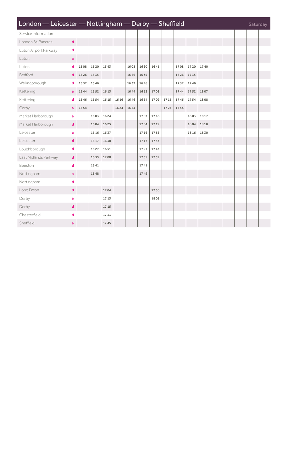| London — Leicester — Nottingham — Derby — Sheffield |              |           |       |                          |                          |      |      |      |       |      |          |          |  | Saturday |  |  |
|-----------------------------------------------------|--------------|-----------|-------|--------------------------|--------------------------|------|------|------|-------|------|----------|----------|--|----------|--|--|
| Service Information                                 |              | $\bar{a}$ |       | $\overline{\phantom{0}}$ | $\overline{\phantom{0}}$ |      |      |      |       |      | $\equiv$ | $\equiv$ |  |          |  |  |
| London St. Pancras                                  | $\mathbf d$  |           |       |                          |                          |      |      |      |       |      |          |          |  |          |  |  |
| Luton Airport Parkway                               | d            |           |       |                          |                          |      |      |      |       |      |          |          |  |          |  |  |
| Luton                                               | $\mathbf{a}$ |           |       |                          |                          |      |      |      |       |      |          |          |  |          |  |  |
| Luton                                               | d            | 1508      | 1520  | 1543                     |                          | 1608 | 1620 | 1641 |       | 1708 | 1720     | 1740     |  |          |  |  |
| Bedford                                             | $\mathbf d$  | 15 26     | 1535  |                          |                          | 1626 | 1635 |      |       | 1726 | 1735     |          |  |          |  |  |
| Wellingborough                                      | d            | 1537      | 1546  |                          |                          | 1637 | 1646 |      |       | 1737 | 1746     |          |  |          |  |  |
| Kettering                                           | $\mathbf{a}$ | 15 44     | 1552  | 16 13                    |                          | 1644 | 1652 | 1708 |       | 1744 | 1752     | 1807     |  |          |  |  |
| Kettering                                           | d            | 1546      | 1554  | 16 15                    | 16 16                    | 1646 | 1654 | 1709 | 17 16 | 1746 | 1754     | 1808     |  |          |  |  |
| Corby                                               | $\mathbf{a}$ | 1554      |       |                          | 1624                     | 1654 |      |      | 1724  | 1754 |          |          |  |          |  |  |
| Market Harborough                                   | a            |           | 1603  | 1624                     |                          |      | 1703 | 1718 |       |      | 1803     | 1817     |  |          |  |  |
| Market Harborough                                   | $\mathbf d$  |           | 1604  | 1625                     |                          |      | 1704 | 1719 |       |      | 1804     | 1818     |  |          |  |  |
| Leicester                                           | a            |           | 16 16 | 1637                     |                          |      | 1716 | 1732 |       |      | 18 16    | 1830     |  |          |  |  |
| Leicester                                           | $\mathbf d$  |           | 1617  | 1638                     |                          |      | 1717 | 1733 |       |      |          |          |  |          |  |  |
| Loughborough                                        | d            |           | 1627  | 1651                     |                          |      | 1727 | 1743 |       |      |          |          |  |          |  |  |
| East Midlands Parkway                               | $\mathbf d$  |           | 1635  | 1700                     |                          |      | 1735 | 1752 |       |      |          |          |  |          |  |  |
| Beeston                                             | d            |           | 1641  |                          |                          |      | 1741 |      |       |      |          |          |  |          |  |  |
| Nottingham                                          | $\mathbf{a}$ |           | 1648  |                          |                          |      | 1749 |      |       |      |          |          |  |          |  |  |
| Nottingham                                          | d            |           |       |                          |                          |      |      |      |       |      |          |          |  |          |  |  |
| Long Eaton                                          | $\mathbf d$  |           |       | 1704                     |                          |      |      | 1756 |       |      |          |          |  |          |  |  |
| Derby                                               | a            |           |       | 17 13                    |                          |      |      | 1805 |       |      |          |          |  |          |  |  |
| Derby                                               | $\mathbf d$  |           |       | 17 15                    |                          |      |      |      |       |      |          |          |  |          |  |  |
| Chesterfield                                        | d            |           |       | 1733                     |                          |      |      |      |       |      |          |          |  |          |  |  |
| Sheffield                                           | a            |           |       | 1745                     |                          |      |      |      |       |      |          |          |  |          |  |  |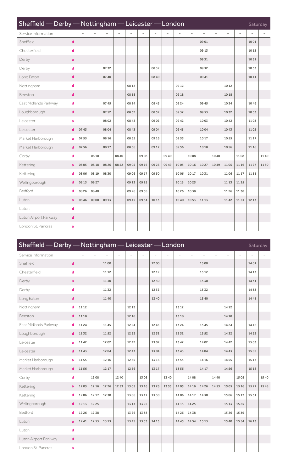| Sheffield — Derby — Nottingham — Leicester — London |             |                |       |       |          |       |          |       |                |       |                          |          | Saturday |          |                          |                          |      |
|-----------------------------------------------------|-------------|----------------|-------|-------|----------|-------|----------|-------|----------------|-------|--------------------------|----------|----------|----------|--------------------------|--------------------------|------|
| Service Information                                 |             | $\overline{a}$ |       |       | $\equiv$ |       | $\equiv$ |       | $\overline{a}$ |       | $\overline{\phantom{0}}$ | $\equiv$ | $\equiv$ | $\equiv$ | $\overline{\phantom{0}}$ | $\overline{\phantom{0}}$ |      |
| Sheffield                                           | d           |                |       |       |          |       |          |       |                |       |                          | 09 01    |          |          |                          | 1001                     |      |
| Chesterfield                                        | d           |                |       |       |          |       |          |       |                |       |                          | 09 13    |          |          |                          | 1013                     |      |
| Derby                                               | a           |                |       |       |          |       |          |       |                |       |                          | 0931     |          |          |                          | 1031                     |      |
| Derby                                               | d           |                |       | 0732  |          |       |          | 0832  |                |       |                          | 0932     |          |          |                          | 1033                     |      |
| Long Eaton                                          | d           |                |       | 0740  |          |       |          | 08 40 |                |       |                          | 09 41    |          |          |                          | 1041                     |      |
| Nottingham                                          | d           |                |       |       |          | 08 12 |          |       |                | 09 12 |                          |          |          | 1012     |                          |                          |      |
| Beeston                                             | $\mathbf d$ |                |       |       |          | 08 18 |          |       |                | 09 18 |                          |          |          | 1018     |                          |                          |      |
| East Midlands Parkway                               | d           |                |       | 0745  |          | 08 24 |          | 08 45 |                | 09 24 |                          | 09 45    |          | 1024     |                          | 1046                     |      |
| Loughborough                                        | d           |                |       | 0752  |          | 0832  |          | 0852  |                | 0932  |                          | 09 53    |          | 1032     |                          | 1053                     |      |
| Leicester                                           | a           |                |       | 0802  |          | 08 42 |          | 0902  |                | 09 42 |                          | 1003     |          | 1042     |                          | 1103                     |      |
| Leicester                                           | $\mathbf d$ | 0743           |       | 0804  |          | 08 43 |          | 0904  |                | 09 43 |                          | 1004     |          | 1043     |                          | 1105                     |      |
| Market Harborough                                   | a           | 0755           |       | 0816  |          | 08 55 |          | 09 16 |                | 0955  |                          | 1017     |          | 1055     |                          | 11 17                    |      |
| Market Harborough                                   | $\mathbf d$ | 0756           |       | 08 17 |          | 08 56 |          | 09 17 |                | 09 56 |                          | 1018     |          | 1056     |                          | 11 18                    |      |
| Corby                                               | d           |                | 08 10 |       | 08 40    |       | 0908     |       | 09 40          |       | 1008                     |          | 1040     |          | 1108                     |                          | 1140 |
| Kettering                                           | a           | 08 05          | 08 18 | 0826  | 0852     | 09 05 | 09 16    | 09 26 | 09 49          | 1005  | 1016                     | 1027     | 1049     | 1105     | 11 16                    | 1127                     | 1150 |
| Kettering                                           | d           | 08 06          | 08 19 | 0830  |          | 09 06 | 09 17    | 09 30 |                | 1006  | 1017                     | 1031     |          | 1106     | 11 17                    | 1131                     |      |
| Wellingborough                                      | d           | 08 13          | 08 27 |       |          | 09 13 | 0925     |       |                | 10 13 | 1025                     |          |          | 1113     | 1125                     |                          |      |
| Bedford                                             | d           | 08 26          | 08 40 |       |          | 09 26 | 0938     |       |                | 1026  | 1038                     |          |          | 1126     | 1138                     |                          |      |
| Luton                                               | a           | 08 46          | 09 00 | 0913  |          | 09 45 | 0954     | 1013  |                | 1040  | 1053                     | 11 13    |          | 1142     | 1153                     | 12 13                    |      |
| Luton                                               | d           |                |       |       |          |       |          |       |                |       |                          |          |          |          |                          |                          |      |
| Luton Airport Parkway                               | d           |                |       |       |          |       |          |       |                |       |                          |          |          |          |                          |                          |      |
| London St. Pancras                                  | a           |                |       |       |          |       |          |       |                |       |                          |          |          |          |                          |                          |      |

| Sheffield — Derby — Nottingham — Leicester — London |              |       |       |       |      |       |       |       |       |       |       |       |      | Saturday |       |        |       |
|-----------------------------------------------------|--------------|-------|-------|-------|------|-------|-------|-------|-------|-------|-------|-------|------|----------|-------|--------|-------|
| Service Information                                 |              |       | L.    |       |      |       |       |       |       |       | ÷     | ۳     |      | L.       | ۳     |        |       |
| Sheffield                                           | $\mathbf d$  |       |       | 1100  |      |       |       | 1200  |       |       |       | 13 00 |      |          |       | 1401   |       |
| Chesterfield                                        | d            |       |       | 1112  |      |       |       | 1212  |       |       |       | 13 12 |      |          |       | 14 13  |       |
| Derby                                               | a            |       |       | 1130  |      |       |       | 1230  |       |       |       | 13 30 |      |          |       | 1431   |       |
| Derby                                               | d            |       |       | 1132  |      |       |       | 1232  |       |       |       | 1332  |      |          |       | 1433   |       |
| Long Eaton                                          | d            |       |       | 1140  |      |       |       | 1240  |       |       |       | 13 40 |      |          |       | 1441   |       |
| Nottingham                                          | d            | 11 12 |       |       |      | 12 12 |       |       |       | 13 12 |       |       |      | 1412     |       |        |       |
| Beeston                                             | d            | 11 18 |       |       |      | 12 18 |       |       |       | 13 18 |       |       |      | 1418     |       |        |       |
| East Midlands Parkway                               | d            | 1124  |       | 1145  |      | 12 24 |       | 1245  |       | 13 24 |       | 13 45 |      | 1424     |       | 14 4 6 |       |
| Loughborough                                        | d            | 1132  |       | 1152  |      | 1232  |       | 1252  |       | 1332  |       | 1352  |      | 1432     |       | 1453   |       |
| Leicester                                           | a            | 1142  |       | 1202  |      | 1242  |       | 1302  |       | 1342  |       | 1402  |      | 1442     |       | 1503   |       |
| Leicester                                           | d            | 1143  |       | 1204  |      | 12 43 |       | 1304  |       | 13 43 |       | 1404  |      | 1443     |       | 15 05  |       |
| Market Harborough                                   | a            | 1155  |       | 12 16 |      | 1255  |       | 13 16 |       | 1355  |       | 14 16 |      | 1455     |       | 15 17  |       |
| Market Harborough                                   | d            | 1156  |       | 1217  |      | 1256  |       | 1317  |       | 1356  |       | 14 17 |      | 1456     |       | 15 18  |       |
| Corby                                               | d            |       | 1208  |       | 1240 |       | 1308  |       | 13 40 |       | 1408  |       | 1440 |          | 1508  |        | 1540  |
| Kettering                                           | a            | 1205  | 12 16 | 1226  | 1253 | 1305  | 13 16 | 13 26 | 1353  | 1405  | 14 16 | 1426  | 1453 | 1505     | 15 16 | 1527   | 15 48 |
| Kettering                                           | d            | 1206  | 12 17 | 1230  |      | 1306  | 13 17 | 1330  |       | 1406  | 1417  | 1430  |      | 1506     | 15 17 | 1531   |       |
| Wellingborough                                      | d            | 12 13 | 12 25 |       |      | 13 13 | 1325  |       |       | 14 13 | 1425  |       |      | 15 13    | 15 25 |        |       |
| Bedford                                             | d            | 12 26 | 1238  |       |      | 13 26 | 1338  |       |       | 1426  | 1438  |       |      | 1526     | 1539  |        |       |
| Luton                                               | $\mathbf{a}$ | 1241  | 1253  | 13 13 |      | 13 45 | 1353  | 14 13 |       | 1445  | 1454  | 15 13 |      | 1540     | 15 54 | 16 13  |       |
| Luton                                               | d            |       |       |       |      |       |       |       |       |       |       |       |      |          |       |        |       |
| Luton Airport Parkway                               | d            |       |       |       |      |       |       |       |       |       |       |       |      |          |       |        |       |
| London St. Pancras                                  | a            |       |       |       |      |       |       |       |       |       |       |       |      |          |       |        |       |